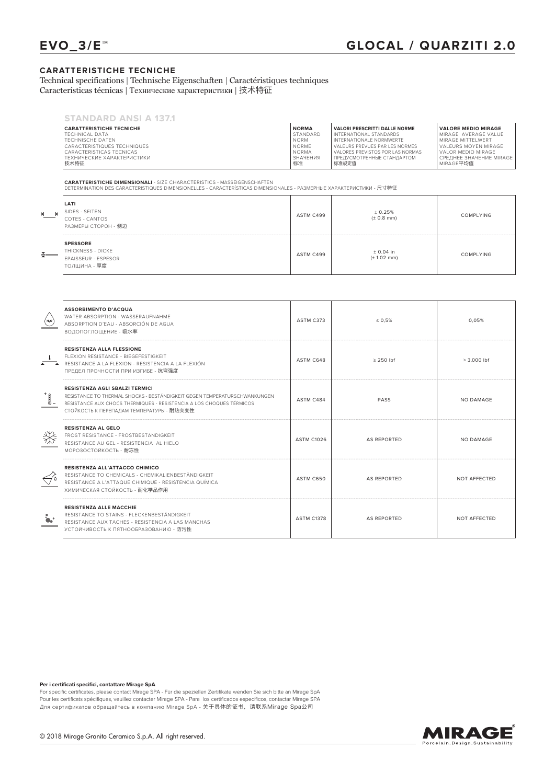## **CARATTERISTICHE TECNICHE**

Technical specifications | Technische Eigenschaften | Caractéristiques techniques Características técnicas | Технические характеристики | 技术特征

| <b>STANDARD ANSI A 137.1</b>       |                |                                      |                                      |
|------------------------------------|----------------|--------------------------------------|--------------------------------------|
| <b>CARATTERISTICHE TECNICHE</b>    | <b>NORMA</b>   | <b>VALORI PRESCRITTI DALLE NORME</b> | <b>VALORE MEDIO MIRAGE</b>           |
| TECHNICAL DATA                     | STANDARD       | INTERNATIONAL STANDARDS              | MIRAGE AVERAGE VALUE                 |
| TECHNISCHE DATEN                   | <b>NORM</b>    | INTERNATIONALE NORMWERTE             | MIRAGE MITTEI WERT                   |
| CARACTERISTIQUES TECHNIQUES        | <b>NORME</b>   | VALEURS PREVUES PAR LES NORMES       | VALEURS MOYEN MIRAGE                 |
| CARACTERISTICAS TECNICAS           | <b>NORMA</b>   | VALORES PREVISTOS POR LAS NORMAS     | I VAI OR MEDIO MIRAGE.               |
| ТЕХНИЧЕСКИЕ ХАРАКТЕРИСТИКИ<br>技术特征 | ЗНАЧЕНИЯ<br>标准 | ПРЕДУСМОТРЕННЫЕ СТАНДАРТОМ<br>标准规定值  | СРЕДНЕЕ ЗНАЧЕНИЕ MIRAGE<br>MIRAGE平均值 |

**CARATTERISTICHE DIMENSIONALI** - SIZE CHARACTERISTICS - MASSEIGENSCHAFTEN DETERMINATION DES CARACTERISTIQUES DIMENSIONELLES - CARACTERÍSTICAS DIMENSIONALES - РАЗМЕРНЫЕ ХАРАКТЕРИСТИКИ - 尺寸特征

| <u>게 ___</u>    | LATI<br>SIDES - SEITEN<br>COTES - CANTOS<br>РАЗМЕРЫ СТОРОН - 侧边             | ASTM C499 | ± 0.25%<br>$(\pm 0.8$ mm)              | <b>COMPLYING</b> |
|-----------------|-----------------------------------------------------------------------------|-----------|----------------------------------------|------------------|
| $\frac{x}{x}$ — | <b>SPESSORE</b><br>THICKNESS - DICKE<br>EPAISSEUR - ESPESOR<br>ТОЛЩИНА - 厚度 | ASTM C499 | $± 0.04$ in<br>$(\pm 1.02 \text{ mm})$ | <b>COMPLYING</b> |

| $\begin{pmatrix} H_2O \end{pmatrix}$ | <b>ASSORBIMENTO D'ACQUA</b><br>WATER ABSORPTION - WASSERAUFNAHME<br>ABSORPTION D'EAU - ABSORCIÓN DE AGUA<br>ВОДОПОГЛОШЕНИЕ - 吸水率                                                                                                        | ASTM C373         | $\leq 0.5\%$   | 0.05%         |
|--------------------------------------|-----------------------------------------------------------------------------------------------------------------------------------------------------------------------------------------------------------------------------------------|-------------------|----------------|---------------|
|                                      | <b>RESISTENZA ALLA FLESSIONE</b><br>FLEXION RESISTANCE - BIEGEFESTIGKEIT<br>RESISTANCE A LA FLEXION - RESISTENCIA A LA FLEXIÓN<br>ПРЕДЕЛ ПРОЧНОСТИ ПРИ ИЗГИБЕ - 抗弯强度                                                                    | ASTM C648         | $\geq$ 250 lbf | $> 3.000$ lbf |
| $\mathbb{I}$                         | <b>RESISTENZA AGLI SBALZI TERMICI</b><br>RESISTANCE TO THERMAL SHOCKS - BESTÄNDIGKEIT GEGEN TEMPERATURSCHWANKUNGEN<br>RESISTANCE AUX CHOCS THERMIQUES - RESISTENCIA A LOS CHOQUES TÉRMICOS<br>СТОЙКОСТЬ К ПЕРЕПАДАМ ТЕМПЕРАТУРЫ - 耐热突变性 | ASTM C484         | PASS           | NO DAMAGE     |
| ₩                                    | <b>RESISTENZA AL GELO</b><br>FROST RESISTANCE - FROSTBESTÄNDIGKEIT<br>RESISTANCE AU GEL - RESISTENCIA AL HIELO<br>МОРОЗОСТОЙКОСТЬ - 耐冻性                                                                                                 | <b>ASTM C1026</b> | AS REPORTED    | NO DAMAGE     |
|                                      | <b>RESISTENZA ALL'ATTACCO CHIMICO</b><br>RESISTANCE TO CHEMICALS - CHEMIKALIENBESTÄNDIGKEIT<br>RESISTANCE A L'ATTAQUE CHIMIQUE - RESISTENCIA QUÍMICA<br>ХИМИЧЕСКАЯ СТОЙКОСТЬ - 耐化学品作用                                                   | ASTM C650         | AS REPORTED    | NOT AFFECTED  |
| $\mathbf{a}$                         | <b>RESISTENZA ALLE MACCHIE</b><br>RESISTANCE TO STAINS - FLECKENBESTÄNDIGKEIT<br>RESISTANCE AUX TACHES - RESISTENCIA A LAS MANCHAS<br>УСТОЙЧИВОСТЬ К ПЯТНООБРАЗОВАНИЮ - 防污性                                                             | <b>ASTM C1378</b> | AS REPORTED    | NOT AFFECTED  |

## **Per i certificati specifici, contattare Mirage SpA**

For specific certificates, please contact Mirage SPA - Für die speziellen Zertifikate wenden Sie sich bitte an Mirage SpA Pour les certificats spécifiques, veuillez contacter Mirage SPA - Para los certificados específicos, contactar Mirage SPA<br>Для сертификатов обращайтесь в компанию Mirage SpA - 关于具体的证书,请联系M**irage Spa公**司